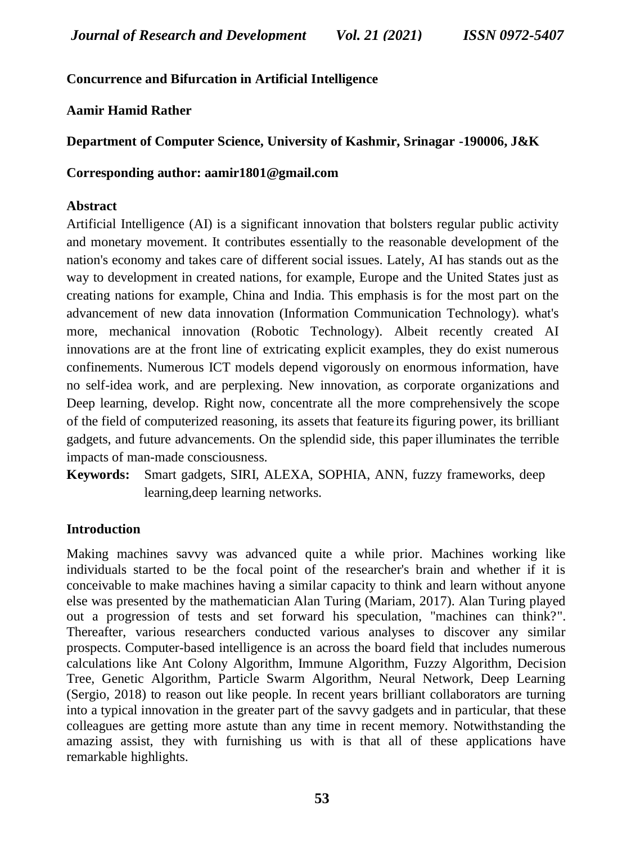# **Concurrence and Bifurcation in Artificial Intelligence**

**Aamir Hamid Rather**

**Department of Computer Science, University of Kashmir, Srinagar -190006, J&K**

**Corresponding author: aamir1801@gmail.com**

# **Abstract**

Artificial Intelligence (AI) is a significant innovation that bolsters regular public activity and monetary movement. It contributes essentially to the reasonable development of the nation's economy and takes care of different social issues. Lately, AI has stands out as the way to development in created nations, for example, Europe and the United States just as creating nations for example, China and India. This emphasis is for the most part on the advancement of new data innovation (Information Communication Technology). what's more, mechanical innovation (Robotic Technology). Albeit recently created AI innovations are at the front line of extricating explicit examples, they do exist numerous confinements. Numerous ICT models depend vigorously on enormous information, have no self-idea work, and are perplexing. New innovation, as corporate organizations and Deep learning, develop. Right now, concentrate all the more comprehensively the scope of the field of computerized reasoning, its assets that feature its figuring power, its brilliant gadgets, and future advancements. On the splendid side, this paper illuminates the terrible impacts of man-made consciousness.

**Keywords:** Smart gadgets, SIRI, ALEXA, SOPHIA, ANN, fuzzy frameworks, deep learning,deep learning networks.

# **Introduction**

Making machines savvy was advanced quite a while prior. Machines working like individuals started to be the focal point of the researcher's brain and whether if it is conceivable to make machines having a similar capacity to think and learn without anyone else was presented by the mathematician Alan Turing (Mariam, 2017). Alan Turing played out a progression of tests and set forward his speculation, "machines can think?". Thereafter, various researchers conducted various analyses to discover any similar prospects. Computer-based intelligence is an across the board field that includes numerous calculations like Ant Colony Algorithm, Immune Algorithm, Fuzzy Algorithm, Decision Tree, Genetic Algorithm, Particle Swarm Algorithm, Neural Network, Deep Learning (Sergio, 2018) to reason out like people. In recent years brilliant collaborators are turning into a typical innovation in the greater part of the savvy gadgets and in particular, that these colleagues are getting more astute than any time in recent memory. Notwithstanding the amazing assist, they with furnishing us with is that all of these applications have remarkable highlights.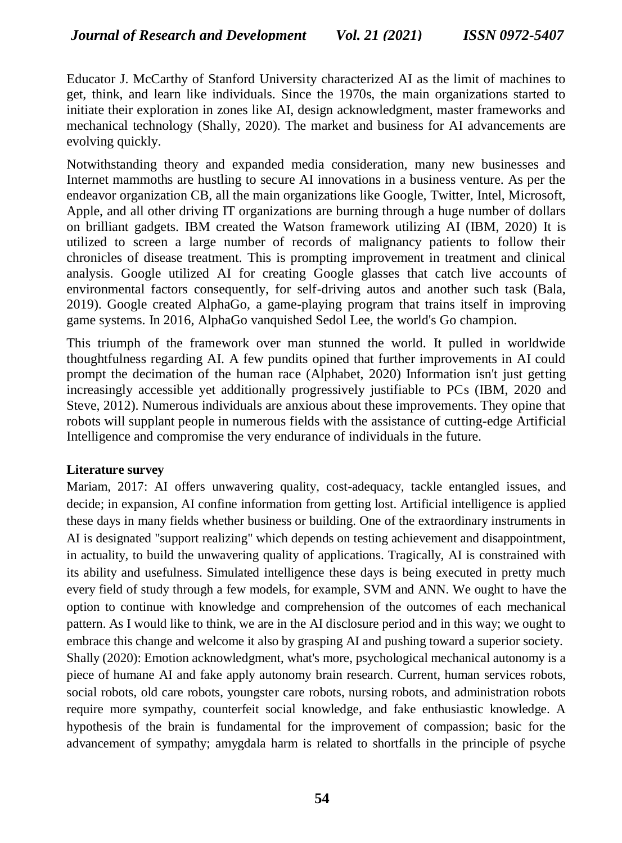Educator J. McCarthy of Stanford University characterized AI as the limit of machines to get, think, and learn like individuals. Since the 1970s, the main organizations started to initiate their exploration in zones like AI, design acknowledgment, master frameworks and mechanical technology (Shally, 2020). The market and business for AI advancements are evolving quickly.

Notwithstanding theory and expanded media consideration, many new businesses and Internet mammoths are hustling to secure AI innovations in a business venture. As per the endeavor organization CB, all the main organizations like Google, Twitter, Intel, Microsoft, Apple, and all other driving IT organizations are burning through a huge number of dollars on brilliant gadgets. IBM created the Watson framework utilizing AI (IBM, 2020) It is utilized to screen a large number of records of malignancy patients to follow their chronicles of disease treatment. This is prompting improvement in treatment and clinical analysis. Google utilized AI for creating Google glasses that catch live accounts of environmental factors consequently, for self-driving autos and another such task (Bala, 2019). Google created AlphaGo, a game-playing program that trains itself in improving game systems. In 2016, AlphaGo vanquished Sedol Lee, the world's Go champion.

This triumph of the framework over man stunned the world. It pulled in worldwide thoughtfulness regarding AI. A few pundits opined that further improvements in AI could prompt the decimation of the human race (Alphabet, 2020) Information isn't just getting increasingly accessible yet additionally progressively justifiable to PCs (IBM, 2020 and Steve, 2012). Numerous individuals are anxious about these improvements. They opine that robots will supplant people in numerous fields with the assistance of cutting-edge Artificial Intelligence and compromise the very endurance of individuals in the future.

### **Literature survey**

Mariam, 2017: AI offers unwavering quality, cost-adequacy, tackle entangled issues, and decide; in expansion, AI confine information from getting lost. Artificial intelligence is applied these days in many fields whether business or building. One of the extraordinary instruments in AI is designated "support realizing" which depends on testing achievement and disappointment, in actuality, to build the unwavering quality of applications. Tragically, AI is constrained with its ability and usefulness. Simulated intelligence these days is being executed in pretty much every field of study through a few models, for example, SVM and ANN. We ought to have the option to continue with knowledge and comprehension of the outcomes of each mechanical pattern. As I would like to think, we are in the AI disclosure period and in this way; we ought to embrace this change and welcome it also by grasping AI and pushing toward a superior society. Shally (2020): Emotion acknowledgment, what's more, psychological mechanical autonomy is a piece of humane AI and fake apply autonomy brain research. Current, human services robots, social robots, old care robots, youngster care robots, nursing robots, and administration robots require more sympathy, counterfeit social knowledge, and fake enthusiastic knowledge. A hypothesis of the brain is fundamental for the improvement of compassion; basic for the advancement of sympathy; amygdala harm is related to shortfalls in the principle of psyche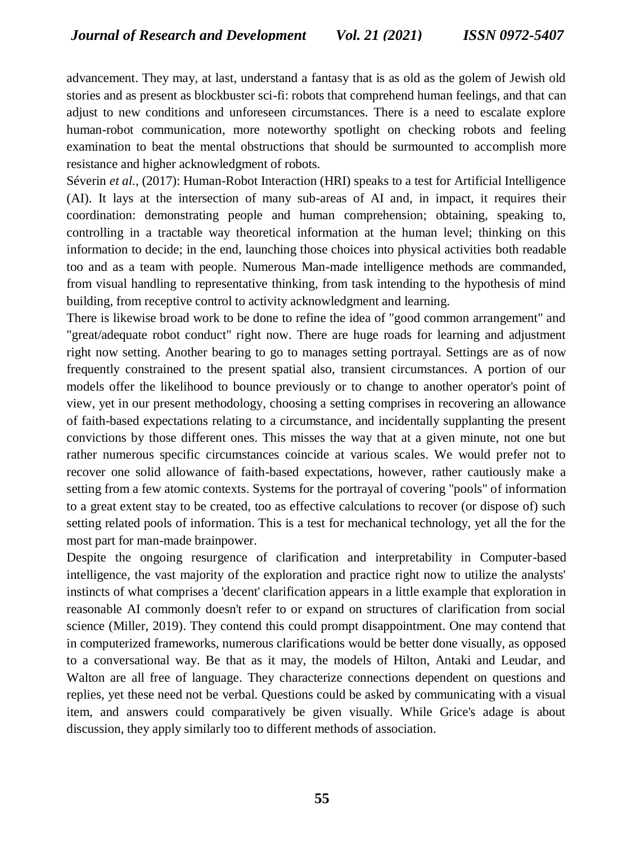advancement. They may, at last, understand a fantasy that is as old as the golem of Jewish old stories and as present as blockbuster sci-fi: robots that comprehend human feelings, and that can adjust to new conditions and unforeseen circumstances. There is a need to escalate explore human-robot communication, more noteworthy spotlight on checking robots and feeling examination to beat the mental obstructions that should be surmounted to accomplish more resistance and higher acknowledgment of robots.

Séverin *et al.,* (2017): Human-Robot Interaction (HRI) speaks to a test for Artificial Intelligence (AI). It lays at the intersection of many sub-areas of AI and, in impact, it requires their coordination: demonstrating people and human comprehension; obtaining, speaking to, controlling in a tractable way theoretical information at the human level; thinking on this information to decide; in the end, launching those choices into physical activities both readable too and as a team with people. Numerous Man-made intelligence methods are commanded, from visual handling to representative thinking, from task intending to the hypothesis of mind building, from receptive control to activity acknowledgment and learning.

There is likewise broad work to be done to refine the idea of "good common arrangement" and "great/adequate robot conduct" right now. There are huge roads for learning and adjustment right now setting. Another bearing to go to manages setting portrayal. Settings are as of now frequently constrained to the present spatial also, transient circumstances. A portion of our models offer the likelihood to bounce previously or to change to another operator's point of view, yet in our present methodology, choosing a setting comprises in recovering an allowance of faith-based expectations relating to a circumstance, and incidentally supplanting the present convictions by those different ones. This misses the way that at a given minute, not one but rather numerous specific circumstances coincide at various scales. We would prefer not to recover one solid allowance of faith-based expectations, however, rather cautiously make a setting from a few atomic contexts. Systems for the portrayal of covering "pools" of information to a great extent stay to be created, too as effective calculations to recover (or dispose of) such setting related pools of information. This is a test for mechanical technology, yet all the for the most part for man-made brainpower.

Despite the ongoing resurgence of clarification and interpretability in Computer-based intelligence, the vast majority of the exploration and practice right now to utilize the analysts' instincts of what comprises a 'decent' clarification appears in a little example that exploration in reasonable AI commonly doesn't refer to or expand on structures of clarification from social science (Miller, 2019). They contend this could prompt disappointment. One may contend that in computerized frameworks, numerous clarifications would be better done visually, as opposed to a conversational way. Be that as it may, the models of Hilton, Antaki and Leudar, and Walton are all free of language. They characterize connections dependent on questions and replies, yet these need not be verbal. Questions could be asked by communicating with a visual item, and answers could comparatively be given visually. While Grice's adage is about discussion, they apply similarly too to different methods of association.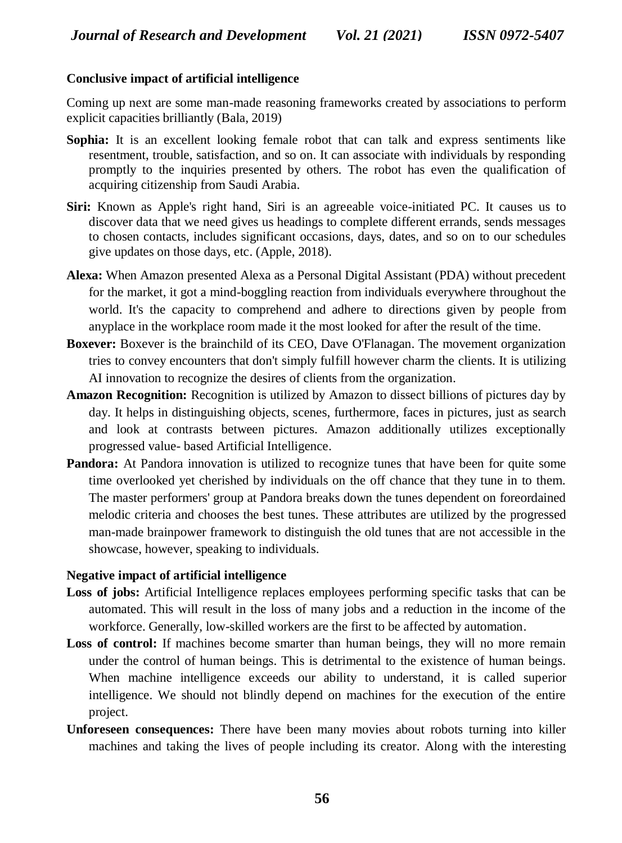#### **Conclusive impact of artificial intelligence**

Coming up next are some man-made reasoning frameworks created by associations to perform explicit capacities brilliantly (Bala, 2019)

- **Sophia:** It is an excellent looking female robot that can talk and express sentiments like resentment, trouble, satisfaction, and so on. It can associate with individuals by responding promptly to the inquiries presented by others. The robot has even the qualification of acquiring citizenship from Saudi Arabia.
- **Siri:** Known as Apple's right hand, Siri is an agreeable voice-initiated PC. It causes us to discover data that we need gives us headings to complete different errands, sends messages to chosen contacts, includes significant occasions, days, dates, and so on to our schedules give updates on those days, etc. (Apple, 2018).
- **Alexa:** When Amazon presented Alexa as a Personal Digital Assistant (PDA) without precedent for the market, it got a mind-boggling reaction from individuals everywhere throughout the world. It's the capacity to comprehend and adhere to directions given by people from anyplace in the workplace room made it the most looked for after the result of the time.
- **Boxever:** Boxever is the brainchild of its CEO, Dave O'Flanagan. The movement organization tries to convey encounters that don't simply fulfill however charm the clients. It is utilizing AI innovation to recognize the desires of clients from the organization.
- **Amazon Recognition:** Recognition is utilized by Amazon to dissect billions of pictures day by day. It helps in distinguishing objects, scenes, furthermore, faces in pictures, just as search and look at contrasts between pictures. Amazon additionally utilizes exceptionally progressed value- based Artificial Intelligence.
- **Pandora:** At Pandora innovation is utilized to recognize tunes that have been for quite some time overlooked yet cherished by individuals on the off chance that they tune in to them. The master performers' group at Pandora breaks down the tunes dependent on foreordained melodic criteria and chooses the best tunes. These attributes are utilized by the progressed man-made brainpower framework to distinguish the old tunes that are not accessible in the showcase, however, speaking to individuals.

#### **Negative impact of artificial intelligence**

- **Loss of jobs:** Artificial Intelligence replaces employees performing specific tasks that can be automated. This will result in the loss of many jobs and a reduction in the income of the workforce. Generally, low-skilled workers are the first to be affected by automation.
- Loss of control: If machines become smarter than human beings, they will no more remain under the control of human beings. This is detrimental to the existence of human beings. When machine intelligence exceeds our ability to understand, it is called superior intelligence. We should not blindly depend on machines for the execution of the entire project.
- **Unforeseen consequences:** There have been many movies about robots turning into killer machines and taking the lives of people including its creator. Along with the interesting